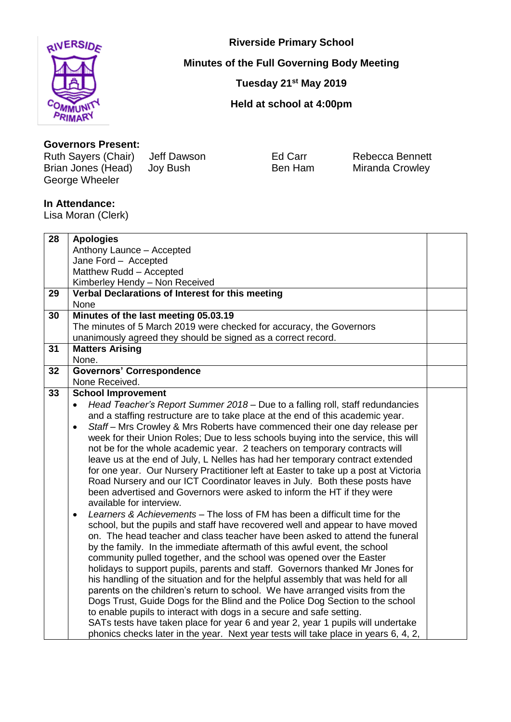

**Riverside Primary School**

**Minutes of the Full Governing Body Meeting**

**Tuesday 21 st May 2019**

**Held at school at 4:00pm**

## **Governors Present:**

Ruth Sayers (Chair) Jeff Dawson Ed Carr Rebecca Bennett<br>
Brian Jones (Head) Joy Bush Ben Ham Miranda Crowley Brian Jones (Head) Joy Bush Ben Ham Miranda Crowley George Wheeler

## **In Attendance:**

Lisa Moran (Clerk)

| 28 | <b>Apologies</b>                                                                           |  |
|----|--------------------------------------------------------------------------------------------|--|
|    | Anthony Launce - Accepted                                                                  |  |
|    | Jane Ford - Accepted                                                                       |  |
|    | Matthew Rudd - Accepted                                                                    |  |
|    | Kimberley Hendy - Non Received                                                             |  |
| 29 | Verbal Declarations of Interest for this meeting                                           |  |
|    | None                                                                                       |  |
| 30 | Minutes of the last meeting 05.03.19                                                       |  |
|    | The minutes of 5 March 2019 were checked for accuracy, the Governors                       |  |
|    | unanimously agreed they should be signed as a correct record.                              |  |
| 31 | <b>Matters Arising</b>                                                                     |  |
|    | None.                                                                                      |  |
| 32 | <b>Governors' Correspondence</b>                                                           |  |
|    | None Received.                                                                             |  |
| 33 | <b>School Improvement</b>                                                                  |  |
|    | Head Teacher's Report Summer 2018 – Due to a falling roll, staff redundancies<br>$\bullet$ |  |
|    | and a staffing restructure are to take place at the end of this academic year.             |  |
|    | Staff – Mrs Crowley & Mrs Roberts have commenced their one day release per<br>$\bullet$    |  |
|    | week for their Union Roles; Due to less schools buying into the service, this will         |  |
|    | not be for the whole academic year. 2 teachers on temporary contracts will                 |  |
|    | leave us at the end of July, L Nelles has had her temporary contract extended              |  |
|    | for one year. Our Nursery Practitioner left at Easter to take up a post at Victoria        |  |
|    | Road Nursery and our ICT Coordinator leaves in July. Both these posts have                 |  |
|    | been advertised and Governors were asked to inform the HT if they were                     |  |
|    | available for interview.                                                                   |  |
|    | Learners & Achievements – The loss of FM has been a difficult time for the<br>$\bullet$    |  |
|    | school, but the pupils and staff have recovered well and appear to have moved              |  |
|    | on. The head teacher and class teacher have been asked to attend the funeral               |  |
|    | by the family. In the immediate aftermath of this awful event, the school                  |  |
|    | community pulled together, and the school was opened over the Easter                       |  |
|    | holidays to support pupils, parents and staff. Governors thanked Mr Jones for              |  |
|    | his handling of the situation and for the helpful assembly that was held for all           |  |
|    | parents on the children's return to school. We have arranged visits from the               |  |
|    | Dogs Trust, Guide Dogs for the Blind and the Police Dog Section to the school              |  |
|    | to enable pupils to interact with dogs in a secure and safe setting.                       |  |
|    | SATs tests have taken place for year 6 and year 2, year 1 pupils will undertake            |  |
|    | phonics checks later in the year. Next year tests will take place in years 6, 4, 2,        |  |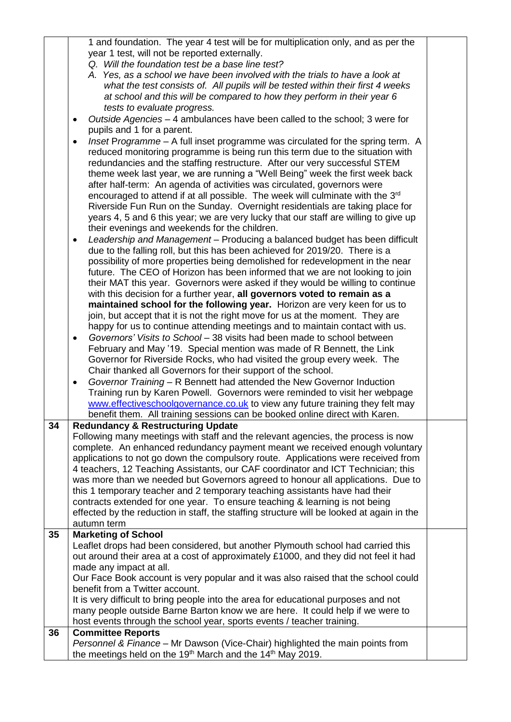|    | 1 and foundation. The year 4 test will be for multiplication only, and as per the          |  |
|----|--------------------------------------------------------------------------------------------|--|
|    | year 1 test, will not be reported externally.                                              |  |
|    | Q. Will the foundation test be a base line test?                                           |  |
|    | A. Yes, as a school we have been involved with the trials to have a look at                |  |
|    | what the test consists of. All pupils will be tested within their first 4 weeks            |  |
|    | at school and this will be compared to how they perform in their year 6                    |  |
|    | tests to evaluate progress.                                                                |  |
|    | Outside Agencies - 4 ambulances have been called to the school; 3 were for<br>$\bullet$    |  |
|    | pupils and 1 for a parent.                                                                 |  |
|    | Inset Programme - A full inset programme was circulated for the spring term. A             |  |
|    | $\bullet$<br>reduced monitoring programme is being run this term due to the situation with |  |
|    | redundancies and the staffing restructure. After our very successful STEM                  |  |
|    | theme week last year, we are running a "Well Being" week the first week back               |  |
|    | after half-term: An agenda of activities was circulated, governors were                    |  |
|    | encouraged to attend if at all possible. The week will culminate with the 3 <sup>rd</sup>  |  |
|    | Riverside Fun Run on the Sunday. Overnight residentials are taking place for               |  |
|    | years 4, 5 and 6 this year; we are very lucky that our staff are willing to give up        |  |
|    | their evenings and weekends for the children.                                              |  |
|    | Leadership and Management - Producing a balanced budget has been difficult<br>$\bullet$    |  |
|    | due to the falling roll, but this has been achieved for 2019/20. There is a                |  |
|    | possibility of more properties being demolished for redevelopment in the near              |  |
|    | future. The CEO of Horizon has been informed that we are not looking to join               |  |
|    | their MAT this year. Governors were asked if they would be willing to continue             |  |
|    | with this decision for a further year, all governors voted to remain as a                  |  |
|    | maintained school for the following year. Horizon are very keen for us to                  |  |
|    | join, but accept that it is not the right move for us at the moment. They are              |  |
|    | happy for us to continue attending meetings and to maintain contact with us.               |  |
|    | Governors' Visits to School - 38 visits had been made to school between<br>$\bullet$       |  |
|    | February and May '19. Special mention was made of R Bennett, the Link                      |  |
|    | Governor for Riverside Rocks, who had visited the group every week. The                    |  |
|    | Chair thanked all Governors for their support of the school.                               |  |
|    | Governor Training - R Bennett had attended the New Governor Induction<br>$\bullet$         |  |
|    | Training run by Karen Powell. Governors were reminded to visit her webpage                 |  |
|    | www.effectiveschoolgovernance.co.uk to view any future training they felt may              |  |
|    | benefit them. All training sessions can be booked online direct with Karen.                |  |
| 34 | <b>Redundancy &amp; Restructuring Update</b>                                               |  |
|    | Following many meetings with staff and the relevant agencies, the process is now           |  |
|    | complete. An enhanced redundancy payment meant we received enough voluntary                |  |
|    | applications to not go down the compulsory route. Applications were received from          |  |
|    | 4 teachers, 12 Teaching Assistants, our CAF coordinator and ICT Technician; this           |  |
|    | was more than we needed but Governors agreed to honour all applications. Due to            |  |
|    | this 1 temporary teacher and 2 temporary teaching assistants have had their                |  |
|    | contracts extended for one year. To ensure teaching & learning is not being                |  |
|    | effected by the reduction in staff, the staffing structure will be looked at again in the  |  |
|    | autumn term                                                                                |  |
| 35 | <b>Marketing of School</b>                                                                 |  |
|    | Leaflet drops had been considered, but another Plymouth school had carried this            |  |
|    | out around their area at a cost of approximately £1000, and they did not feel it had       |  |
|    | made any impact at all.                                                                    |  |
|    | Our Face Book account is very popular and it was also raised that the school could         |  |
|    | benefit from a Twitter account.                                                            |  |
|    | It is very difficult to bring people into the area for educational purposes and not        |  |
|    | many people outside Barne Barton know we are here. It could help if we were to             |  |
|    | host events through the school year, sports events / teacher training.                     |  |
| 36 | <b>Committee Reports</b>                                                                   |  |
|    | Personnel & Finance - Mr Dawson (Vice-Chair) highlighted the main points from              |  |
|    | the meetings held on the 19 <sup>th</sup> March and the 14 <sup>th</sup> May 2019.         |  |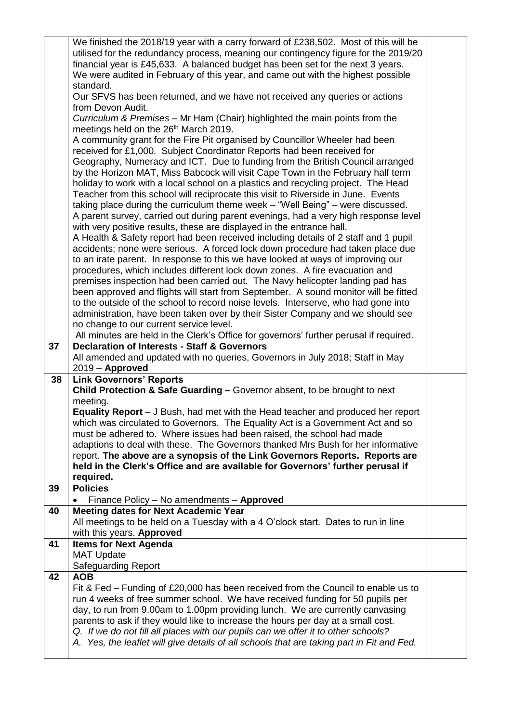|    | We finished the 2018/19 year with a carry forward of £238,502. Most of this will be       |  |
|----|-------------------------------------------------------------------------------------------|--|
|    | utilised for the redundancy process, meaning our contingency figure for the 2019/20       |  |
|    | financial year is £45,633. A balanced budget has been set for the next 3 years.           |  |
|    | We were audited in February of this year, and came out with the highest possible          |  |
|    | standard.                                                                                 |  |
|    | Our SFVS has been returned, and we have not received any queries or actions               |  |
|    | from Devon Audit.                                                                         |  |
|    | Curriculum & Premises - Mr Ham (Chair) highlighted the main points from the               |  |
|    | meetings held on the 26 <sup>th</sup> March 2019.                                         |  |
|    | A community grant for the Fire Pit organised by Councillor Wheeler had been               |  |
|    | received for £1,000. Subject Coordinator Reports had been received for                    |  |
|    | Geography, Numeracy and ICT. Due to funding from the British Council arranged             |  |
|    | by the Horizon MAT, Miss Babcock will visit Cape Town in the February half term           |  |
|    | holiday to work with a local school on a plastics and recycling project. The Head         |  |
|    | Teacher from this school will reciprocate this visit to Riverside in June. Events         |  |
|    | taking place during the curriculum theme week - "Well Being" - were discussed.            |  |
|    | A parent survey, carried out during parent evenings, had a very high response level       |  |
|    | with very positive results, these are displayed in the entrance hall.                     |  |
|    | A Health & Safety report had been received including details of 2 staff and 1 pupil       |  |
|    | accidents; none were serious. A forced lock down procedure had taken place due            |  |
|    | to an irate parent. In response to this we have looked at ways of improving our           |  |
|    | procedures, which includes different lock down zones. A fire evacuation and               |  |
|    | premises inspection had been carried out. The Navy helicopter landing pad has             |  |
|    | been approved and flights will start from September. A sound monitor will be fitted       |  |
|    | to the outside of the school to record noise levels. Interserve, who had gone into        |  |
|    | administration, have been taken over by their Sister Company and we should see            |  |
|    | no change to our current service level.                                                   |  |
|    | All minutes are held in the Clerk's Office for governors' further perusal if required.    |  |
| 37 | <b>Declaration of Interests - Staff &amp; Governors</b>                                   |  |
|    |                                                                                           |  |
|    | All amended and updated with no queries, Governors in July 2018; Staff in May             |  |
|    | $2019 -$ Approved                                                                         |  |
| 38 | <b>Link Governors' Reports</b>                                                            |  |
|    | Child Protection & Safe Guarding - Governor absent, to be brought to next                 |  |
|    | meeting.                                                                                  |  |
|    | <b>Equality Report</b> – J Bush, had met with the Head teacher and produced her report    |  |
|    | which was circulated to Governors. The Equality Act is a Government Act and so            |  |
|    | must be adhered to. Where issues had been raised, the school had made                     |  |
|    | adaptions to deal with these. The Governors thanked Mrs Bush for her informative          |  |
|    | report. The above are a synopsis of the Link Governors Reports. Reports are               |  |
|    | held in the Clerk's Office and are available for Governors' further perusal if            |  |
|    | required.<br><b>Policies</b>                                                              |  |
| 39 |                                                                                           |  |
|    | Finance Policy - No amendments - Approved                                                 |  |
| 40 | <b>Meeting dates for Next Academic Year</b>                                               |  |
|    | All meetings to be held on a Tuesday with a 4 O'clock start. Dates to run in line         |  |
| 41 | with this years. Approved                                                                 |  |
|    | <b>Items for Next Agenda</b><br><b>MAT Update</b>                                         |  |
|    | <b>Safeguarding Report</b>                                                                |  |
| 42 | <b>AOB</b>                                                                                |  |
|    | Fit & Fed – Funding of £20,000 has been received from the Council to enable us to         |  |
|    | run 4 weeks of free summer school. We have received funding for 50 pupils per             |  |
|    | day, to run from 9.00am to 1.00pm providing lunch. We are currently canvasing             |  |
|    | parents to ask if they would like to increase the hours per day at a small cost.          |  |
|    | Q. If we do not fill all places with our pupils can we offer it to other schools?         |  |
|    | A. Yes, the leaflet will give details of all schools that are taking part in Fit and Fed. |  |